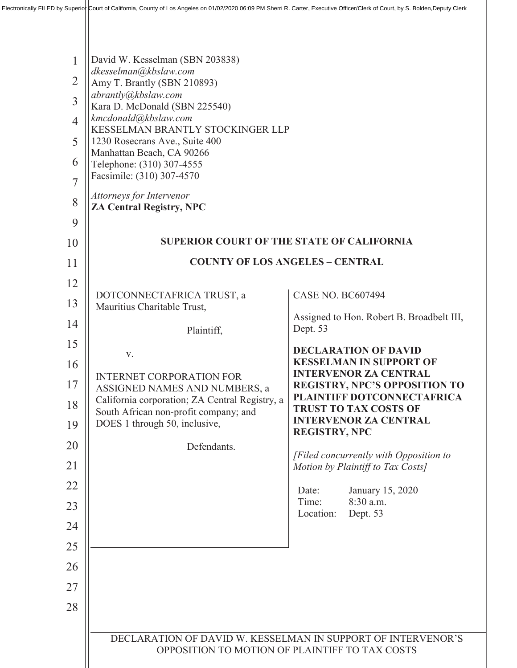| $\mathbf{1}$<br>$\overline{2}$<br>$\overline{3}$<br>$\overline{4}$<br>5<br>6<br>$\overline{7}$<br>8<br>9 | David W. Kesselman (SBN 203838)<br>dkesselman@kbslaw.com<br>Amy T. Brantly (SBN 210893)<br>abrantly@kbslaw.com<br>Kara D. McDonald (SBN 225540)<br>kmcdonald@kbslaw.com<br>KESSELMAN BRANTLY STOCKINGER LLP<br>1230 Rosecrans Ave., Suite 400<br>Manhattan Beach, CA 90266<br>Telephone: (310) 307-4555<br>Facsimile: (310) 307-4570<br>Attorneys for Intervenor<br><b>ZA Central Registry, NPC</b> |                                                                                                    |
|----------------------------------------------------------------------------------------------------------|-----------------------------------------------------------------------------------------------------------------------------------------------------------------------------------------------------------------------------------------------------------------------------------------------------------------------------------------------------------------------------------------------------|----------------------------------------------------------------------------------------------------|
| 10                                                                                                       | <b>SUPERIOR COURT OF THE STATE OF CALIFORNIA</b>                                                                                                                                                                                                                                                                                                                                                    |                                                                                                    |
| 11                                                                                                       | <b>COUNTY OF LOS ANGELES - CENTRAL</b>                                                                                                                                                                                                                                                                                                                                                              |                                                                                                    |
| 12                                                                                                       | DOTCONNECTAFRICA TRUST, a                                                                                                                                                                                                                                                                                                                                                                           | <b>CASE NO. BC607494</b>                                                                           |
| 13                                                                                                       | Mauritius Charitable Trust,                                                                                                                                                                                                                                                                                                                                                                         | Assigned to Hon. Robert B. Broadbelt III,                                                          |
| 14                                                                                                       | Plaintiff,                                                                                                                                                                                                                                                                                                                                                                                          | Dept. 53                                                                                           |
| 15                                                                                                       | V.                                                                                                                                                                                                                                                                                                                                                                                                  | <b>DECLARATION OF DAVID</b>                                                                        |
| 16                                                                                                       | <b>INTERNET CORPORATION FOR</b>                                                                                                                                                                                                                                                                                                                                                                     | <b>KESSELMAN IN SUPPORT OF</b><br><b>INTERVENOR ZA CENTRAL</b>                                     |
| 17<br>18                                                                                                 | ASSIGNED NAMES AND NUMBERS, a<br>California corporation; ZA Central Registry, a                                                                                                                                                                                                                                                                                                                     | <b>REGISTRY, NPC'S OPPOSITION TO</b><br>PLAINTIFF DOTCONNECTAFRICA<br><b>TRUST TO TAX COSTS OF</b> |
| 19                                                                                                       | South African non-profit company; and<br>DOES 1 through 50, inclusive,                                                                                                                                                                                                                                                                                                                              | <b>INTERVENOR ZA CENTRAL</b><br><b>REGISTRY, NPC</b>                                               |
| 20                                                                                                       | Defendants.                                                                                                                                                                                                                                                                                                                                                                                         |                                                                                                    |
| 21                                                                                                       |                                                                                                                                                                                                                                                                                                                                                                                                     | [Filed concurrently with Opposition to<br>Motion by Plaintiff to Tax Costs]                        |
| 22                                                                                                       |                                                                                                                                                                                                                                                                                                                                                                                                     | January 15, 2020<br>Date:                                                                          |
| 23                                                                                                       |                                                                                                                                                                                                                                                                                                                                                                                                     | Time:<br>$8:30$ a.m.<br>Dept. 53<br>Location:                                                      |
| 24                                                                                                       |                                                                                                                                                                                                                                                                                                                                                                                                     |                                                                                                    |
| 25                                                                                                       |                                                                                                                                                                                                                                                                                                                                                                                                     |                                                                                                    |
| 26                                                                                                       |                                                                                                                                                                                                                                                                                                                                                                                                     |                                                                                                    |
| 27                                                                                                       |                                                                                                                                                                                                                                                                                                                                                                                                     |                                                                                                    |
| 28                                                                                                       |                                                                                                                                                                                                                                                                                                                                                                                                     |                                                                                                    |
|                                                                                                          | DECLARATION OF DAVID W. KESSELMAN IN SUPPORT OF INTERVENOR'S<br>OPPOSITION TO MOTION OF PLAINTIFF TO TAX COSTS                                                                                                                                                                                                                                                                                      |                                                                                                    |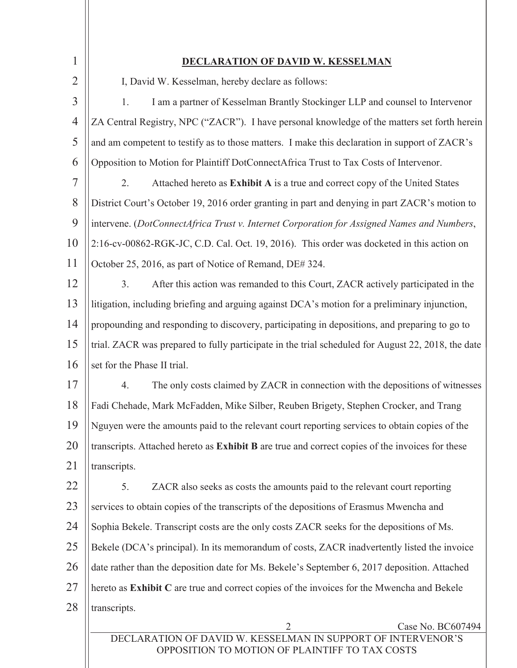| 1              | <u>LARATION OF DAVID W. KESSELMAN</u>                                                                          |  |
|----------------|----------------------------------------------------------------------------------------------------------------|--|
| $\overline{2}$ | I, David W. Kesselman, hereby declare as follows:                                                              |  |
| 3              | 1.<br>I am a partner of Kesselman Brantly Stockinger LLP and counsel to Intervenor                             |  |
| $\overline{4}$ | ZA Central Registry, NPC ("ZACR"). I have personal knowledge of the matters set forth herein                   |  |
| 5              | and am competent to testify as to those matters. I make this declaration in support of ZACR's                  |  |
| 6              | Opposition to Motion for Plaintiff DotConnectAfrica Trust to Tax Costs of Intervenor.                          |  |
| 7              | 2.<br>Attached hereto as Exhibit A is a true and correct copy of the United States                             |  |
| 8              | District Court's October 19, 2016 order granting in part and denying in part ZACR's motion to                  |  |
| 9              | intervene. (DotConnectAfrica Trust v. Internet Corporation for Assigned Names and Numbers,                     |  |
| 10             | 2:16-cv-00862-RGK-JC, C.D. Cal. Oct. 19, 2016). This order was docketed in this action on                      |  |
| 11             | October 25, 2016, as part of Notice of Remand, DE# 324.                                                        |  |
| 12             | 3.<br>After this action was remanded to this Court, ZACR actively participated in the                          |  |
| 13             | litigation, including briefing and arguing against DCA's motion for a preliminary injunction,                  |  |
| 14             | propounding and responding to discovery, participating in depositions, and preparing to go to                  |  |
| 15             | trial. ZACR was prepared to fully participate in the trial scheduled for August 22, 2018, the date             |  |
| 16             | set for the Phase II trial.                                                                                    |  |
| 17             | The only costs claimed by ZACR in connection with the depositions of witnesses<br>4.                           |  |
| 18             | Fadi Chehade, Mark McFadden, Mike Silber, Reuben Brigety, Stephen Crocker, and Trang                           |  |
| 19             | Nguyen were the amounts paid to the relevant court reporting services to obtain copies of the                  |  |
| 20             | transcripts. Attached hereto as Exhibit B are true and correct copies of the invoices for these                |  |
| 21             | transcripts.                                                                                                   |  |
| 22             | ZACR also seeks as costs the amounts paid to the relevant court reporting<br>5.                                |  |
| 23             | services to obtain copies of the transcripts of the depositions of Erasmus Mwencha and                         |  |
| 24             | Sophia Bekele. Transcript costs are the only costs ZACR seeks for the depositions of Ms.                       |  |
| 25             | Bekele (DCA's principal). In its memorandum of costs, ZACR inadvertently listed the invoice                    |  |
| 26             | date rather than the deposition date for Ms. Bekele's September 6, 2017 deposition. Attached                   |  |
| 27             | hereto as Exhibit C are true and correct copies of the invoices for the Mwencha and Bekele                     |  |
| 28             | transcripts.                                                                                                   |  |
|                | $\overline{2}$<br>Case No. BC607494                                                                            |  |
|                | DECLARATION OF DAVID W. KESSELMAN IN SUPPORT OF INTERVENOR'S<br>OPPOSITION TO MOTION OF PLAINTIFF TO TAX COSTS |  |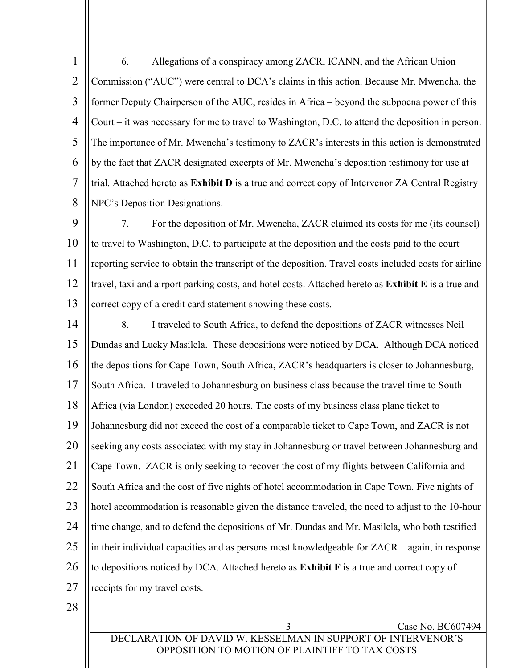1  $\mathfrak{D}$ 3 4 5 6 7 8 6. Allegations of a conspiracy among ZACR, ICANN, and the African Union Commission ("AUC") were central to DCA's claims in this action. Because Mr. Mwencha, the former Deputy Chairperson of the AUC, resides in Africa – beyond the subpoena power of this Court – it was necessary for me to travel to Washington, D.C. to attend the deposition in person. The importance of Mr. Mwencha's testimony to ZACR's interests in this action is demonstrated by the fact that ZACR designated excerpts of Mr. Mwencha's deposition testimony for use at trial. Attached hereto as **Exhibit D** is a true and correct copy of Intervenor ZA Central Registry NPC's Deposition Designations.

9 10 11 12 13 7. For the deposition of Mr. Mwencha, ZACR claimed its costs for me (its counsel) to travel to Washington, D.C. to participate at the deposition and the costs paid to the court reporting service to obtain the transcript of the deposition. Travel costs included costs for airline travel, taxi and airport parking costs, and hotel costs. Attached hereto as **Exhibit E** is a true and correct copy of a credit card statement showing these costs.

14 15 16 17 18 19 20 21 22 23  $24$ 25 26 27 8. I traveled to South Africa, to defend the depositions of ZACR witnesses Neil Dundas and Lucky Masilela. These depositions were noticed by DCA. Although DCA noticed the depositions for Cape Town, South Africa, ZACR's headquarters is closer to Johannesburg, South Africa. I traveled to Johannesburg on business class because the travel time to South Africa (via London) exceeded 20 hours. The costs of my business class plane ticket to Johannesburg did not exceed the cost of a comparable ticket to Cape Town, and ZACR is not seeking any costs associated with my stay in Johannesburg or travel between Johannesburg and Cape Town. ZACR is only seeking to recover the cost of my flights between California and South Africa and the cost of five nights of hotel accommodation in Cape Town. Five nights of hotel accommodation is reasonable given the distance traveled, the need to adjust to the 10-hour time change, and to defend the depositions of Mr. Dundas and Mr. Masilela, who both testified in their individual capacities and as persons most knowledgeable for ZACR – again, in response to depositions noticed by DCA. Attached hereto as **Exhibit F** is a true and correct copy of receipts for my travel costs.

28

DECLARATION OF DAVID W. KESSELMAN IN SUPPORT OF INTERVENOR'S OPPOSITION TO MOTION OF PLAINTIFF TO TAX COSTS

Case No. BC607494